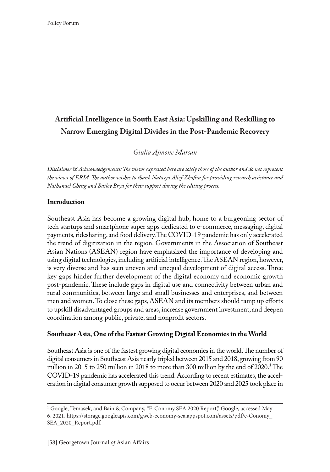# **Artificial Intelligence in South East Asia: Upskilling and Reskilling to Narrow Emerging Digital Divides in the Post-Pandemic Recovery**

*Giulia Ajmone Marsan*

*Disclaimer & Acknowledgements: The views expressed here are solely those of the author and do not represent the views of ERIA. The author wishes to thank Natasya Alief Zhafira for providing research assistance and Nathanael Cheng and Bailey Brya for their support during the editing process.*

#### **Introduction**

Southeast Asia has become a growing digital hub, home to a burgeoning sector of tech startups and smartphone super apps dedicated to e-commerce, messaging, digital payments, ridesharing, and food delivery. The COVID-19 pandemic has only accelerated the trend of digitization in the region. Governments in the Association of Southeast Asian Nations (ASEAN) region have emphasized the importance of developing and using digital technologies, including artificial intelligence. The ASEAN region, however, is very diverse and has seen uneven and unequal development of digital access. Three key gaps hinder further development of the digital economy and economic growth post-pandemic. These include gaps in digital use and connectivity between urban and rural communities, between large and small businesses and enterprises, and between men and women. To close these gaps, ASEAN and its members should ramp up efforts to upskill disadvantaged groups and areas, increase government investment, and deepen coordination among public, private, and nonprofit sectors.

### **Southeast Asia, One of the Fastest Growing Digital Economies in the World**

Southeast Asia is one of the fastest growing digital economies in the world. The number of digital consumers in Southeast Asia nearly tripled between 2015 and 2018, growing from 90 million in 2015 to 250 million in 2018 to more than 300 million by the end of 2020.<sup>1</sup> The COVID-19 pandemic has accelerated this trend. According to recent estimates, the acceleration in digital consumer growth supposed to occur between 2020 and 2025 took place in

<sup>1</sup> Google, Temasek, and Bain & Company, "E-Conomy SEA 2020 Report," Google, accessed May 6, 2021, https://storage.googleapis.com/gweb-economy-sea.appspot.com/assets/pdf/e-Conomy\_ SEA\_2020\_Report.pdf.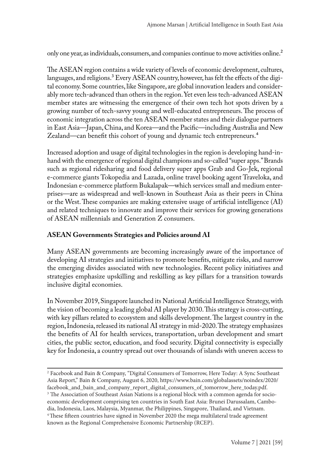only one year, as individuals, consumers, and companies continue to move activities online.<sup>2</sup>

The ASEAN region contains a wide variety of levels of economic development, cultures, languages, and religions.<sup>3</sup> Every ASEAN country, however, has felt the effects of the digital economy. Some countries, like Singapore, are global innovation leaders and considerably more tech-advanced than others in the region. Yet even less tech-advanced ASEAN member states are witnessing the emergence of their own tech hot spots driven by a growing number of tech-savvy young and well-educated entrepreneurs. The process of economic integration across the ten ASEAN member states and their dialogue partners in East Asia—Japan, China, and Korea—and the Pacific—including Australia and New Zealand—can benefit this cohort of young and dynamic tech entrepreneurs.<sup>4</sup>

Increased adoption and usage of digital technologies in the region is developing hand-inhand with the emergence of regional digital champions and so-called "super apps." Brands such as regional ridesharing and food delivery super apps Grab and Go-Jek, regional e-commerce giants Tokopedia and Lazada, online travel booking agent Traveloka, and Indonesian e-commerce platform Bukalapak—which services small and medium enterprises—are as widespread and well-known in Southeast Asia as their peers in China or the West. These companies are making extensive usage of artificial intelligence (AI) and related techniques to innovate and improve their services for growing generations of ASEAN millennials and Generation Z consumers.

## **ASEAN Governments Strategies and Policies around AI**

Many ASEAN governments are becoming increasingly aware of the importance of developing AI strategies and initiatives to promote benefits, mitigate risks, and narrow the emerging divides associated with new technologies. Recent policy initiatives and strategies emphasize upskilling and reskilling as key pillars for a transition towards inclusive digital economies.

In November 2019, Singapore launched its National Artificial Intelligence Strategy, with the vision of becoming a leading global AI player by 2030. This strategy is cross-cutting, with key pillars related to ecosystem and skills development. The largest country in the region, Indonesia, released its national AI strategy in mid-2020. The strategy emphasizes the benefits of AI for health services, transportation, urban development and smart cities, the public sector, education, and food security. Digital connectivity is especially key for Indonesia, a country spread out over thousands of islands with uneven access to

<sup>2</sup> Facebook and Bain & Company, "Digital Consumers of Tomorrow, Here Today: A Sync Southeast Asia Report," Bain & Company, August 6, 2020, https://www.bain.com/globalassets/noindex/2020/ facebook\_and\_bain\_and\_company\_report\_digital\_consumers\_of\_tomorrow\_here\_today.pdf. <sup>3</sup> The Association of Southeast Asian Nations is a regional block with a common agenda for socioeconomic development comprising ten countries in South East Asia: Brunei Darussalam, Cambodia, Indonesia, Laos, Malaysia, Myanmar, the Philippines, Singapore, Thailand, and Vietnam. 4These fifteen countries have signed in November 2020 the mega multilateral trade agreement known as the Regional Comprehensive Economic Partnership (RCEP).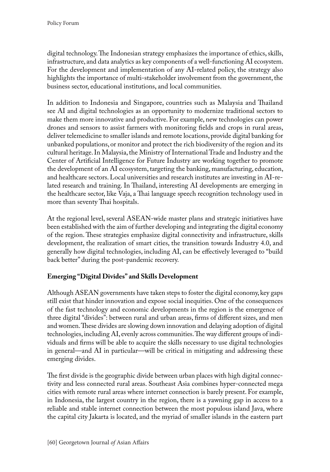digital technology. The Indonesian strategy emphasizes the importance of ethics, skills, infrastructure, and data analytics as key components of a well-functioning AI ecosystem. For the development and implementation of any AI-related policy, the strategy also highlights the importance of multi-stakeholder involvement from the government, the business sector, educational institutions, and local communities.

In addition to Indonesia and Singapore, countries such as Malaysia and Thailand see AI and digital technologies as an opportunity to modernize traditional sectors to make them more innovative and productive. For example, new technologies can power drones and sensors to assist farmers with monitoring fields and crops in rural areas, deliver telemedicine to smaller islands and remote locations, provide digital banking for unbanked populations, or monitor and protect the rich biodiversity of the region and its cultural heritage. In Malaysia, the Ministry of International Trade and Industry and the Center of Artificial Intelligence for Future Industry are working together to promote the development of an AI ecosystem, targeting the banking, manufacturing, education, and healthcare sectors. Local universities and research institutes are investing in AI-related research and training. In Thailand, interesting AI developments are emerging in the healthcare sector, like Vaja, a Thai language speech recognition technology used in more than seventy Thai hospitals.

At the regional level, several ASEAN-wide master plans and strategic initiatives have been established with the aim of further developing and integrating the digital economy of the region. These strategies emphasize digital connectivity and infrastructure, skills development, the realization of smart cities, the transition towards Industry 4.0, and generally how digital technologies, including AI, can be effectively leveraged to "build back better" during the post-pandemic recovery.

# **Emerging "Digital Divides" and Skills Development**

Although ASEAN governments have taken steps to foster the digital economy, key gaps still exist that hinder innovation and expose social inequities. One of the consequences of the fast technology and economic developments in the region is the emergence of three digital "divides": between rural and urban areas, firms of different sizes, and men and women. These divides are slowing down innovation and delaying adoption of digital technologies, including AI, evenly across communities. The way different groups of individuals and firms will be able to acquire the skills necessary to use digital technologies in general—and AI in particular—will be critical in mitigating and addressing these emerging divides.

The first divide is the geographic divide between urban places with high digital connectivity and less connected rural areas. Southeast Asia combines hyper-connected mega cities with remote rural areas where internet connection is barely present. For example, in Indonesia, the largest country in the region, there is a yawning gap in access to a reliable and stable internet connection between the most populous island Java, where the capital city Jakarta is located, and the myriad of smaller islands in the eastern part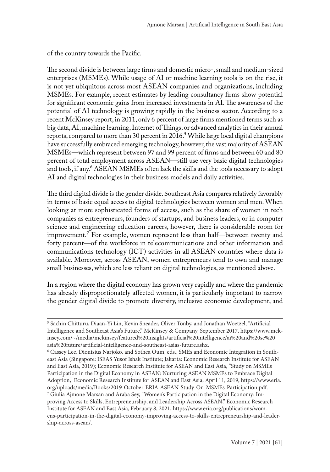of the country towards the Pacific.

The second divide is between large firms and domestic micro-, small and medium-sized enterprises (MSMEs). While usage of AI or machine learning tools is on the rise, it is not yet ubiquitous across most ASEAN companies and organizations, including MSMEs. For example, recent estimates by leading consultancy firms show potential for significant economic gains from increased investments in AI. The awareness of the potential of AI technology is growing rapidly in the business sector. According to a recent McKinsey report, in 2011, only 6 percent of large firms mentioned terms such as big data, AI, machine learning, Internet of Things, or advanced analytics in their annual reports, compared to more than 30 percent in 2016.<sup>5</sup> While large local digital champions have successfully embraced emerging technology, however, the vast majority of ASEAN MSMEs—which represent between 97 and 99 percent of firms and between 60 and 80 percent of total employment across ASEAN—still use very basic digital technologies and tools, if any.<sup>6</sup> ASEAN MSMEs often lack the skills and the tools necessary to adopt AI and digital technologies in their business models and daily activities.

The third digital divide is the gender divide. Southeast Asia compares relatively favorably in terms of basic equal access to digital technologies between women and men. When looking at more sophisticated forms of access, such as the share of women in tech companies as entrepreneurs, founders of startups, and business leaders, or in computer science and engineering education careers, however, there is considerable room for improvement.7 For example, women represent less than half—between twenty and forty percent—of the workforce in telecommunications and other information and communications technology (ICT) activities in all ASEAN countries where data is available. Moreover, across ASEAN, women entrepreneurs tend to own and manage small businesses, which are less reliant on digital technologies, as mentioned above.

In a region where the digital economy has grown very rapidly and where the pandemic has already disproportionately affected women, it is particularly important to narrow the gender digital divide to promote diversity, inclusive economic development, and

<sup>5</sup> Sachin Chitturu, Diaan-Yi Lin, Kevin Sneader, Oliver Tonby, and Jonathan Woetzel, "Artificial Intelligence and Southeast Asia's Future," McKinsey & Company, September 2017, https://www.mckinsey.com/~/media/mckinsey/featured%20insights/artificial%20intelligence/ai%20and%20se%20 asia%20future/artificial-intelligence-and-southeast-asias-future.ashx.

<sup>6</sup> Cassey Lee, Dionisius Narjoko, and Sothea Oum, eds., SMEs and Economic Integration in Southeast Asia (Singapore: ISEAS Yusof Ishak Institute; Jakarta: Economic Research Institute for ASEAN and East Asia, 2019); Economic Research Institute for ASEAN and East Asia, "Study on MSMEs Participation in the Digital Economy in ASEAN: Nurturing ASEAN MSMEs to Embrace Digital Adoption," Economic Research Institute for ASEAN and East Asia, April 11, 2019, https://www.eria. org/uploads/media/Books/2019-October-ERIA-ASEAN-Study-On-MSMEs-Participation.pdf.

<sup>7</sup> Giulia Ajmone Marsan and Araba Sey, "Women's Participation in the Digital Economy: Improving Access to Skills, Entrepreneurship, and Leadership Across ASEAN," Economic Research Institute for ASEAN and East Asia, February 8, 2021, https://www.eria.org/publications/womens-participation-in-the-digital-economy-improving-access-to-skills-entrepreneurship-and-leadership-across-asean/.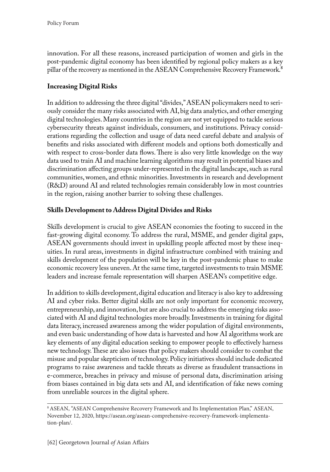innovation. For all these reasons, increased participation of women and girls in the post-pandemic digital economy has been identified by regional policy makers as a key pillar of the recovery as mentioned in the ASEAN Comprehensive Recovery Framework.<sup>8</sup>

# **Increasing Digital Risks**

In addition to addressing the three digital "divides," ASEAN policymakers need to seriously consider the many risks associated with AI, big data analytics, and other emerging digital technologies. Many countries in the region are not yet equipped to tackle serious cybersecurity threats against individuals, consumers, and institutions. Privacy considerations regarding the collection and usage of data need careful debate and analysis of benefits and risks associated with different models and options both domestically and with respect to cross-border data flows. There is also very little knowledge on the way data used to train AI and machine learning algorithms may result in potential biases and discrimination affecting groups under-represented in the digital landscape, such as rural communities, women, and ethnic minorities. Investments in research and development (R&D) around AI and related technologies remain considerably low in most countries in the region, raising another barrier to solving these challenges.

### **Skills Development to Address Digital Divides and Risks**

Skills development is crucial to give ASEAN economies the footing to succeed in the fast-growing digital economy. To address the rural, MSME, and gender digital gaps, ASEAN governments should invest in upskilling people affected most by these inequities. In rural areas, investments in digital infrastructure combined with training and skills development of the population will be key in the post-pandemic phase to make economic recovery less uneven. At the same time, targeted investments to train MSME leaders and increase female representation will sharpen ASEAN's competitive edge.

In addition to skills development, digital education and literacy is also key to addressing AI and cyber risks. Better digital skills are not only important for economic recovery, entrepreneurship, and innovation, but are also crucial to address the emerging risks associated with AI and digital technologies more broadly. Investments in training for digital data literacy, increased awareness among the wider population of digital environments, and even basic understanding of how data is harvested and how AI algorithms work are key elements of any digital education seeking to empower people to effectively harness new technology. These are also issues that policy makers should consider to combat the misuse and popular skepticism of technology. Policy initiatives should include dedicated programs to raise awareness and tackle threats as diverse as fraudulent transactions in e-commerce, breaches in privacy and misuse of personal data, discrimination arising from biases contained in big data sets and AI, and identification of fake news coming from unreliable sources in the digital sphere.

<sup>8</sup>ASEAN, "ASEAN Comprehensive Recovery Framework and Its Implementation Plan," ASEAN, November 12, 2020, https://asean.org/asean-comprehensive-recovery-framework-implementation-plan/.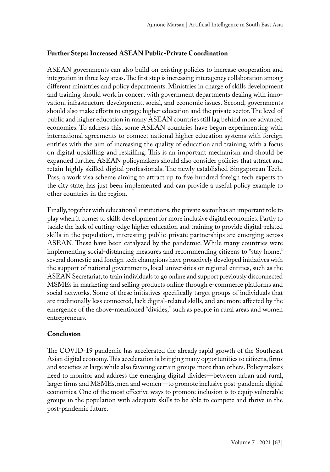### **Further Steps: Increased ASEAN Public-Private Coordination**

ASEAN governments can also build on existing policies to increase cooperation and integration in three key areas. The first step is increasing interagency collaboration among different ministries and policy departments. Ministries in charge of skills development and training should work in concert with government departments dealing with innovation, infrastructure development, social, and economic issues. Second, governments should also make efforts to engage higher education and the private sector. The level of public and higher education in many ASEAN countries still lag behind more advanced economies. To address this, some ASEAN countries have begun experimenting with international agreements to connect national higher education systems with foreign entities with the aim of increasing the quality of education and training, with a focus on digital upskilling and reskilling. This is an important mechanism and should be expanded further. ASEAN policymakers should also consider policies that attract and retain highly skilled digital professionals. The newly established Singaporean Tech. Pass, a work visa scheme aiming to attract up to five hundred foreign tech experts to the city state, has just been implemented and can provide a useful policy example to other countries in the region.

Finally, together with educational institutions, the private sector has an important role to play when it comes to skills development for more inclusive digital economies. Partly to tackle the lack of cutting-edge higher education and training to provide digital-related skills in the population, interesting public-private partnerships are emerging across ASEAN. These have been catalyzed by the pandemic. While many countries were implementing social-distancing measures and recommending citizens to "stay home," several domestic and foreign tech champions have proactively developed initiatives with the support of national governments, local universities or regional entities, such as the ASEAN Secretariat, to train individuals to go online and support previously disconnected MSMEs in marketing and selling products online through e-commerce platforms and social networks. Some of these initiatives specifically target groups of individuals that are traditionally less connected, lack digital-related skills, and are more affected by the emergence of the above-mentioned "divides," such as people in rural areas and women entrepreneurs.

### **Conclusion**

The COVID-19 pandemic has accelerated the already rapid growth of the Southeast Asian digital economy. This acceleration is bringing many opportunities to citizens, firms and societies at large while also favoring certain groups more than others. Policymakers need to monitor and address the emerging digital divides—between urban and rural, larger firms and MSMEs, men and women—to promote inclusive post-pandemic digital economies. One of the most effective ways to promote inclusion is to equip vulnerable groups in the population with adequate skills to be able to compete and thrive in the post-pandemic future.